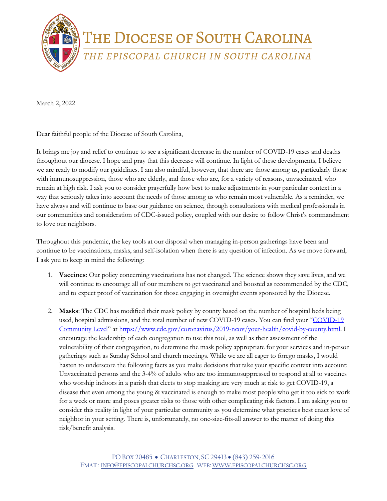

March 2, 2022

Dear faithful people of the Diocese of South Carolina,

It brings me joy and relief to continue to see a significant decrease in the number of COVID-19 cases and deaths throughout our diocese. I hope and pray that this decrease will continue. In light of these developments, I believe we are ready to modify our guidelines. I am also mindful, however, that there are those among us, particularly those with immunosuppression, those who are elderly, and those who are, for a variety of reasons, unvaccinated, who remain at high risk. I ask you to consider prayerfully how best to make adjustments in your particular context in a way that seriously takes into account the needs of those among us who remain most vulnerable. As a reminder, we have always and will continue to base our guidance on science, through consultations with medical professionals in our communities and consideration of CDC-issued policy, coupled with our desire to follow Christ's commandment to love our neighbors.

Throughout this pandemic, the key tools at our disposal when managing in-person gatherings have been and continue to be vaccinations, masks, and self-isolation when there is any question of infection. As we move forward, I ask you to keep in mind the following:

- 1. **Vaccines**: Our policy concerning vaccinations has not changed. The science shows they save lives, and we will continue to encourage all of our members to get vaccinated and boosted as recommended by the CDC, and to expect proof of vaccination for those engaging in overnight events sponsored by the Diocese.
- 2. **Masks**: The CDC has modified their mask policy by county based on the number of hospital beds being used, hospital admissions, and the total number of new COVID-19 cases. You can find your "COVID-19 [Community Level"](https://www.google.com/url?q=https://www.cdc.gov/coronavirus/2019-ncov/your-health/covid-by-county.html&source=gmail-imap&ust=1646837545000000&usg=AOvVaw2MJ1IhSVUH1BW-nlD6TJDg) at [https://www.cdc.gov/coronavirus/2019-ncov/your-health/covid-by-county.html.](https://www.google.com/url?q=https://www.cdc.gov/coronavirus/2019-ncov/your-health/covid-by-county.html&source=gmail-imap&ust=1646837545000000&usg=AOvVaw2MJ1IhSVUH1BW-nlD6TJDg) I encourage the leadership of each congregation to use this tool, as well as their assessment of the vulnerability of their congregation, to determine the mask policy appropriate for your services and in-person gatherings such as Sunday School and church meetings. While we are all eager to forego masks, I would hasten to underscore the following facts as you make decisions that take your specific context into account: Unvaccinated persons and the 3-4% of adults who are too immunosuppressed to respond at all to vaccines who worship indoors in a parish that elects to stop masking are very much at risk to get COVID-19, a disease that even among the young & vaccinated is enough to make most people who get it too sick to work for a week or more and poses greater risks to those with other complicating risk factors. I am asking you to consider this reality in light of your particular community as you determine what practices best enact love of neighbor in your setting. There is, unfortunately, no one-size-fits-all answer to the matter of doing this risk/benefit analysis.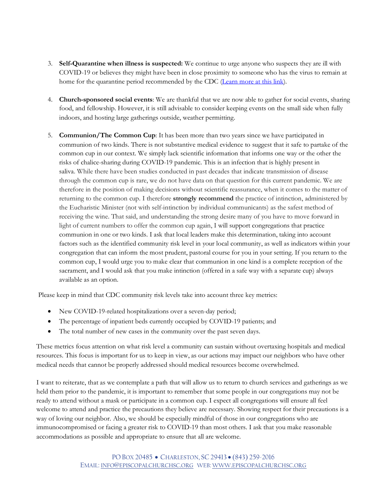- 3. **Self-Quarantine when illness is suspected:** We continue to urge anyone who suspects they are ill with COVID-19 or believes they might have been in close proximity to someone who has the virus to remain at home for the quarantine period recommended by the CDC [\(Learn more at this link\)](https://www.google.com/url?q=https://www.cdc.gov/coronavirus/2019-ncov/your-health/quarantine-isolation.html&source=gmail-imap&ust=1646837545000000&usg=AOvVaw3Lqq6tWEyBREjVeWmvJX2j).
- 4. **Church-sponsored social events**: We are thankful that we are now able to gather for social events, sharing food, and fellowship. However, it is still advisable to consider keeping events on the small side when fully indoors, and hosting large gatherings outside, weather permitting.
- 5. **Communion/The Common Cup**: It has been more than two years since we have participated in communion of two kinds. There is not substantive medical evidence to suggest that it safe to partake of the common cup in our context. We simply lack scientific information that informs one way or the other the risks of chalice-sharing during COVID-19 pandemic. This is an infection that is highly present in saliva. While there have been studies conducted in past decades that indicate transmission of disease through the common cup is rare, we do not have data on that question for this current pandemic. We are therefore in the position of making decisions without scientific reassurance, when it comes to the matter of returning to the common cup. I therefore **strongly recommend** the practice of intinction, administered by the Eucharistic Minister (not with self-intinction by individual communicants) as the safest method of receiving the wine. That said, and understanding the strong desire many of you have to move forward in light of current numbers to offer the common cup again, I will support congregations that practice communion in one or two kinds. I ask that local leaders make this determination, taking into account factors such as the identified community risk level in your local community, as well as indicators within your congregation that can inform the most prudent, pastoral course for you in your setting. If you return to the common cup, I would urge you to make clear that communion in one kind is a complete reception of the sacrament, and I would ask that you make intinction (offered in a safe way with a separate cup) always available as an option.

Please keep in mind that CDC community risk levels take into account three key metrics:

- New COVID-19-related hospitalizations over a seven-day period;
- The percentage of inpatient beds currently occupied by COVID-19 patients; and
- The total number of new cases in the community over the past seven days.

These metrics focus attention on what risk level a community can sustain without overtaxing hospitals and medical resources. This focus is important for us to keep in view, as our actions may impact our neighbors who have other medical needs that cannot be properly addressed should medical resources become overwhelmed.

I want to reiterate, that as we contemplate a path that will allow us to return to church services and gatherings as we held them prior to the pandemic, it is important to remember that some people in our congregations may not be ready to attend without a mask or participate in a common cup. I expect all congregations will ensure all feel welcome to attend and practice the precautions they believe are necessary. Showing respect for their precautions is a way of loving our neighbor. Also, we should be especially mindful of those in our congregations who are immunocompromised or facing a greater risk to COVID-19 than most others. I ask that you make reasonable accommodations as possible and appropriate to ensure that all are welcome.